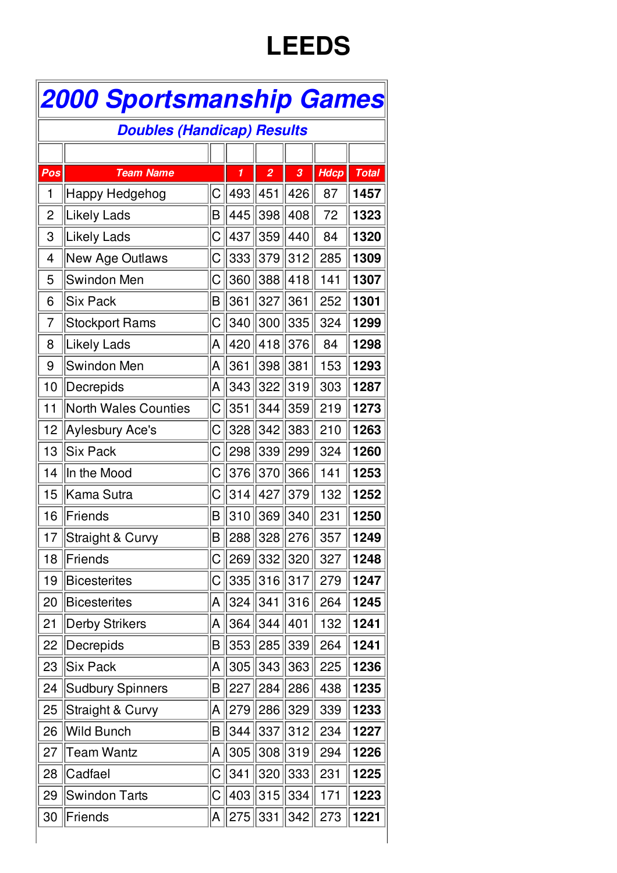## **LEEDS**

| <b>2000 Sportsmanship Games</b>   |                             |    |     |                |     |             |              |  |
|-----------------------------------|-----------------------------|----|-----|----------------|-----|-------------|--------------|--|
| <b>Doubles (Handicap) Results</b> |                             |    |     |                |     |             |              |  |
|                                   |                             |    |     |                |     |             |              |  |
| Pos                               | <b>Team Name</b>            |    | 1   | $\overline{a}$ | 3   | <b>Hdcp</b> | <b>Total</b> |  |
| 1                                 | Happy Hedgehog              | С  | 493 | 451            | 426 | 87          | 1457         |  |
| 2                                 | Likely Lads                 | B  | 445 | 398            | 408 | 72          | 1323         |  |
| 3                                 | Likely Lads                 | IС | 437 | 359            | 440 | 84          | 1320         |  |
| 4                                 | New Age Outlaws             | C  | 333 | 379            | 312 | 285         | 1309         |  |
| 5                                 | Swindon Men                 | С  | 360 | 388            | 418 | 141         | 1307         |  |
| 6                                 | <b>Six Pack</b>             | B  | 361 | 327            | 361 | 252         | 1301         |  |
| 7                                 | <b>Stockport Rams</b>       | C  | 340 | 300            | 335 | 324         | 1299         |  |
| 8                                 | Likely Lads                 | A  | 420 | 418            | 376 | 84          | 1298         |  |
| 9                                 | Swindon Men                 | A  | 361 | 398            | 381 | 153         | 1293         |  |
| 10                                | Decrepids                   | A  | 343 | 322            | 319 | 303         | 1287         |  |
| 11                                | <b>North Wales Counties</b> | C  | 351 | 344            | 359 | 219         | 1273         |  |
| 12                                | <b>Aylesbury Ace's</b>      | С  | 328 | 342            | 383 | 210         | 1263         |  |
| 13                                | <b>Six Pack</b>             | С  | 298 | 339            | 299 | 324         | 1260         |  |
| 14                                | In the Mood                 | С  | 376 | 370            | 366 | 141         | 1253         |  |
| 15                                | Kama Sutra                  | C  | 314 | 427            | 379 | 132         | 1252         |  |
| 16                                | Friends                     | B  | 310 | 369            | 340 | 231         | 1250         |  |
| 17                                | Straight & Curvy            | B  | 288 | 328            | 276 | 357         | 1249         |  |
| 18                                | Friends                     | ∣С | 269 | 332            | 320 | 327         | 1248         |  |
| 19                                | <b>Bicesterites</b>         | C  | 335 | 316            | 317 | 279         | 1247         |  |
| 20                                | <b>Bicesterites</b>         | A  | 324 | 341            | 316 | 264         | 1245         |  |
| 21                                | <b>Derby Strikers</b>       | A  | 364 | 344            | 401 | 132         | 1241         |  |
| 22                                | Decrepids                   | Β  | 353 | 285            | 339 | 264         | 1241         |  |
| 23                                | <b>Six Pack</b>             | A  | 305 | 343            | 363 | 225         | 1236         |  |
| 24                                | <b>Sudbury Spinners</b>     | Β  | 227 | 284            | 286 | 438         | 1235         |  |
| 25                                | <b>Straight &amp; Curvy</b> | A  | 279 | 286            | 329 | 339         | 1233         |  |
| 26                                | <b>Wild Bunch</b>           | B  | 344 | 337            | 312 | 234         | 1227         |  |
| 27                                | Team Wantz                  | A  | 305 | 308            | 319 | 294         | 1226         |  |
| 28                                | Cadfael                     | С  | 341 | 320            | 333 | 231         | 1225         |  |
| 29                                | <b>Swindon Tarts</b>        | С  | 403 | 315            | 334 | 171         | 1223         |  |
| 30                                | Friends                     | A  | 275 | 331            | 342 | 273         | 1221         |  |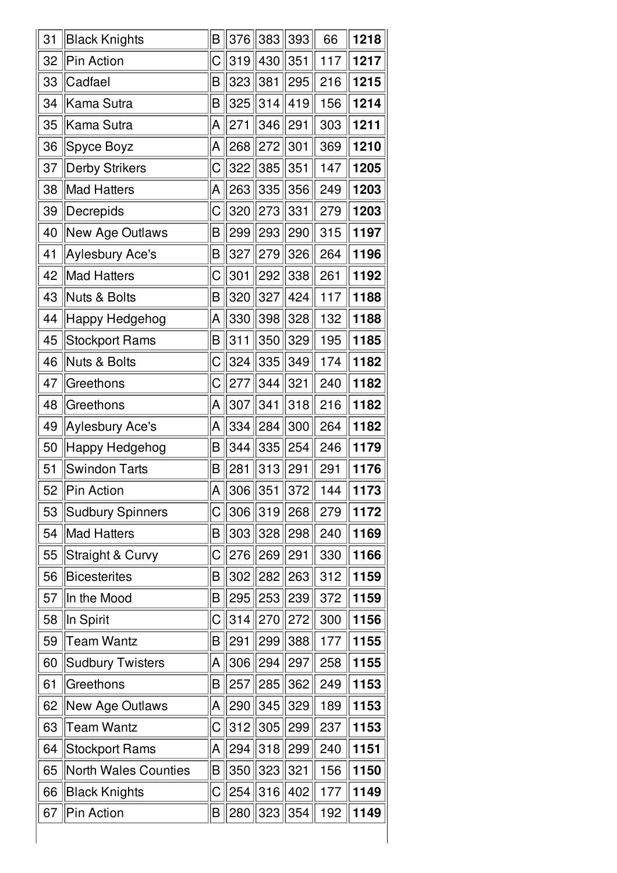| 31 | <b>Black Knights</b>        | B           | 376 | 383 | 393 | 66  | 1218 |
|----|-----------------------------|-------------|-----|-----|-----|-----|------|
| 32 | Pin Action                  | С           | 319 | 430 | 351 | 117 | 1217 |
| 33 | Cadfael                     | $\mathsf B$ | 323 | 381 | 295 | 216 | 1215 |
| 34 | Kama Sutra                  | B           | 325 | 314 | 419 | 156 | 1214 |
| 35 | Kama Sutra                  | A           | 271 | 346 | 291 | 303 | 1211 |
| 36 | Spyce Boyz                  | A           | 268 | 272 | 301 | 369 | 1210 |
| 37 | <b>Derby Strikers</b>       | С           | 322 | 385 | 351 | 147 | 1205 |
| 38 | Mad Hatters                 | A           | 263 | 335 | 356 | 249 | 1203 |
| 39 | Decrepids                   | С           | 320 | 273 | 331 | 279 | 1203 |
| 40 | New Age Outlaws             | B           | 299 | 293 | 290 | 315 | 1197 |
| 41 | <b>Aylesbury Ace's</b>      | B           | 327 | 279 | 326 | 264 | 1196 |
| 42 | Mad Hatters                 | $\mathsf C$ | 301 | 292 | 338 | 261 | 1192 |
| 43 | Nuts & Bolts                | B           | 320 | 327 | 424 | 117 | 1188 |
| 44 | Happy Hedgehog              | A           | 330 | 398 | 328 | 132 | 1188 |
| 45 | <b>Stockport Rams</b>       | B           | 311 | 350 | 329 | 195 | 1185 |
| 46 | Nuts & Bolts                | C           | 324 | 335 | 349 | 174 | 1182 |
| 47 | Greethons                   | $\mathsf C$ | 277 | 344 | 321 | 240 | 1182 |
| 48 | Greethons                   | A           | 307 | 341 | 318 | 216 | 1182 |
| 49 | Aylesbury Ace's             | A           | 334 | 284 | 300 | 264 | 1182 |
| 50 | Happy Hedgehog              | B           | 344 | 335 | 254 | 246 | 1179 |
| 51 | <b>Swindon Tarts</b>        | B           | 281 | 313 | 291 | 291 | 1176 |
| 52 | Pin Action                  | A           | 306 | 351 | 372 | 144 | 1173 |
| 53 | <b>Sudbury Spinners</b>     | C           | 306 | 319 | 268 | 279 | 1172 |
| 54 | Mad Hatters                 | B           | 303 | 328 | 298 | 240 | 1169 |
| 55 | <b>Straight &amp; Curvy</b> | С           | 276 | 269 | 291 | 330 | 1166 |
| 56 | <b>Bicesterites</b>         | B           | 302 | 282 | 263 | 312 | 1159 |
| 57 | In the Mood                 | B           | 295 | 253 | 239 | 372 | 1159 |
| 58 | In Spirit                   | C           | 314 | 270 | 272 | 300 | 1156 |
| 59 | <b>Team Wantz</b>           | B           | 291 | 299 | 388 | 177 | 1155 |
| 60 | <b>Sudbury Twisters</b>     | A           | 306 | 294 | 297 | 258 | 1155 |
| 61 | Greethons                   | B           | 257 | 285 | 362 | 249 | 1153 |
| 62 | New Age Outlaws             | A           | 290 | 345 | 329 | 189 | 1153 |
| 63 | Team Wantz                  | С           | 312 | 305 | 299 | 237 | 1153 |
| 64 | <b>Stockport Rams</b>       | A           | 294 | 318 | 299 | 240 | 1151 |
| 65 | <b>North Wales Counties</b> | B           | 350 | 323 | 321 | 156 | 1150 |
| 66 | <b>Black Knights</b>        | C           | 254 | 316 | 402 | 177 | 1149 |
| 67 | Pin Action                  | $\mathsf B$ | 280 | 323 | 354 | 192 | 1149 |